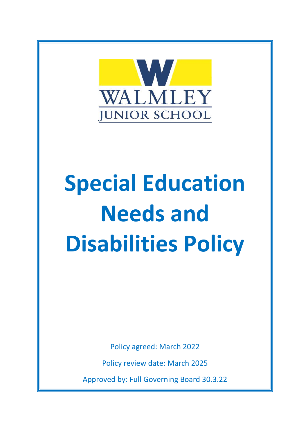

# **Special Education Needs and Disabilities Policy**

Policy agreed: March 2022

Policy review date: March 2025

Approved by: Full Governing Board 30.3.22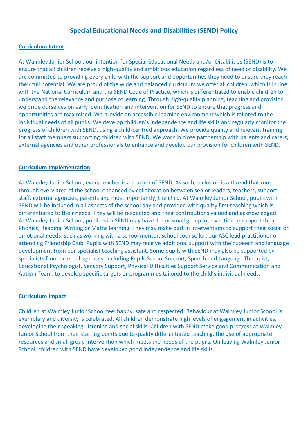# **Special Educational Needs and Disabilities (SEND) Policy**

#### **Curriculum Intent**

At Walmley Junior School, our intention for Special Educational Needs and/or Disabilities (SEND) is to ensure that all children receive a high-quality and ambitious education regardless of need or disability. We are committed to providing every child with the support and opportunities they need to ensure they reach their full potential. We are proud of the wide and balanced curriculum we offer all children, which is in line with the National Curriculum and the SEND Code of Practice, which is differentiated to enable children to understand the relevance and purpose of learning. Through high-quality planning, teaching and provision we pride ourselves on early identification and intervention for SEND to ensure that progress and opportunities are maximised. We provide an accessible learning environment which is tailored to the individual needs of all pupils. We develop children's independence and life skills and regularly monitor the progress of children with SEND, using a child-centred approach. We provide quality and relevant training for all staff members supporting children with SEND. We work in close partnership with parents and carers, external agencies and other professionals to enhance and develop our provision for children with SEND.

## **Curriculum Implementation**

At Walmley Junior School, every teacher is a teacher of SEND. As such, inclusion is a thread that runs through every area of the school enhanced by collaboration between senior leaders, teachers, support staff, external agencies, parents and most importantly, the child. At Walmley Junior School, pupils with SEND will be included in all aspects of the school day and provided with quality first teaching which is differentiated to their needs. They will be respected and their contributions valued and acknowledged. At Walmley Junior School, pupils with SEND may have 1:1 or small group intervention to support their Phonics, Reading, Writing or Maths learning. They may make part in interventions to support their social or emotional needs, such as working with a school mentor, school counsellor, our ASC lead practitioner or attending Friendship Club. Pupils with SEND may receive additional support with their speech and language development from our specialist teaching assistant. Some pupils with SEND may also be supported by specialists from external agencies, including Pupils School Support, Speech and Language Therapist, Educational Psychologist, Sensory Support, Physical Difficulties Support Service and Communication and Autism Team, to develop specific targets or programmes tailored to the child's individual needs.

#### **Curriculum Impact**

Children at Walmley Junior School feel happy, safe and respected. Behaviour at Walmley Junior School is exemplary and diversity is celebrated. All children demonstrate high levels of engagement in activities, developing their speaking, listening and social skills. Children with SEND make good progress at Walmley Junior School from their starting points due to quality differentiated teaching, the use of appropriate resources and small group intervention which meets the needs of the pupils. On leaving Walmley Junior School, children with SEND have developed good independence and life skills.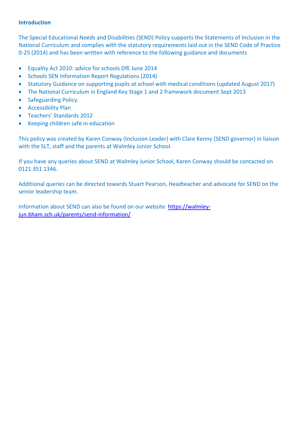#### **Introduction**

The Special Educational Needs and Disabilities (SEND) Policy supports the Statements of Inclusion in the National Curriculum and complies with the statutory requirements laid out in the SEND Code of Practice 0-25 (2014) and has been written with reference to the following guidance and documents

- Equality Act 2010: advice for schools DfE June 2014
- Schools SEN Information Report Regulations (2014)
- Statutory Guidance on supporting pupils at school with medical conditions (updated August 2017)
- The National Curriculum in England Key Stage 1 and 2 framework document Sept 2013
- Safeguarding Policy
- **•** Accessibility Plan
- Teachers' Standards 2012
- Keeping children safe in education

This policy was created by Karen Conway (Inclusion Leader) with Clare Kenny (SEND governor) in liaison with the SLT, staff and the parents at Walmley Junior School.

If you have any queries about SEND at Walmley Junior School, Karen Conway should be contacted on 0121 351 1346.

Additional queries can be directed towards Stuart Pearson, Headteacher and advocate for SEND on the senior leadership team.

Information about SEND can also be found on our website [https://walmley](https://walmley-jun.bham.sch.uk/parents/send-information/)[jun.bham.sch.uk/parents/send-information/](https://walmley-jun.bham.sch.uk/parents/send-information/)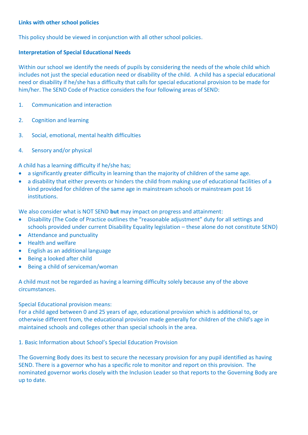## **Links with other school policies**

This policy should be viewed in conjunction with all other school policies.

## **Interpretation of Special Educational Needs**

Within our school we identify the needs of pupils by considering the needs of the whole child which includes not just the special education need or disability of the child. A child has a special educational need or disability if he/she has a difficulty that calls for special educational provision to be made for him/her. The SEND Code of Practice considers the four following areas of SEND:

- 1. Communication and interaction
- 2. Cognition and learning
- 3. Social, emotional, mental health difficulties
- 4. Sensory and/or physical

A child has a learning difficulty if he/she has;

- a significantly greater difficulty in learning than the majority of children of the same age.
- a disability that either prevents or hinders the child from making use of educational facilities of a kind provided for children of the same age in mainstream schools or mainstream post 16 institutions.

We also consider what is NOT SEND **but** may impact on progress and attainment:

- Disability (The Code of Practice outlines the "reasonable adjustment" duty for all settings and schools provided under current Disability Equality legislation – these alone do not constitute SEND)
- Attendance and punctuality
- Health and welfare
- English as an additional language
- Being a looked after child
- Being a child of serviceman/woman

A child must not be regarded as having a learning difficulty solely because any of the above circumstances.

Special Educational provision means:

For a child aged between 0 and 25 years of age, educational provision which is additional to, or otherwise different from, the educational provision made generally for children of the child's age in maintained schools and colleges other than special schools in the area.

1. Basic Information about School's Special Education Provision

The Governing Body does its best to secure the necessary provision for any pupil identified as having SEND. There is a governor who has a specific role to monitor and report on this provision. The nominated governor works closely with the Inclusion Leader so that reports to the Governing Body are up to date.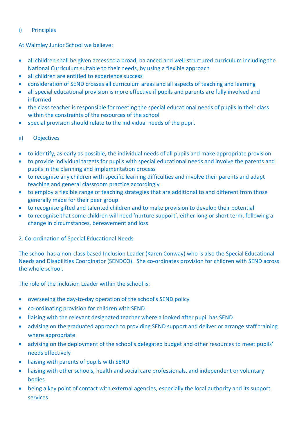# i) Principles

At Walmley Junior School we believe:

- all children shall be given access to a broad, balanced and well-structured curriculum including the National Curriculum suitable to their needs, by using a flexible approach
- all children are entitled to experience success
- consideration of SEND crosses all curriculum areas and all aspects of teaching and learning
- all special educational provision is more effective if pupils and parents are fully involved and informed
- the class teacher is responsible for meeting the special educational needs of pupils in their class within the constraints of the resources of the school
- special provision should relate to the individual needs of the pupil.

# ii) Objectives

- to identify, as early as possible, the individual needs of all pupils and make appropriate provision
- to provide individual targets for pupils with special educational needs and involve the parents and pupils in the planning and implementation process
- to recognise any children with specific learning difficulties and involve their parents and adapt teaching and general classroom practice accordingly
- to employ a flexible range of teaching strategies that are additional to and different from those generally made for their peer group
- to recognise gifted and talented children and to make provision to develop their potential
- to recognise that some children will need 'nurture support', either long or short term, following a change in circumstances, bereavement and loss

# 2. Co-ordination of Special Educational Needs

The school has a non-class based Inclusion Leader (Karen Conway) who is also the Special Educational Needs and Disabilities Coordinator (SENDCO). She co-ordinates provision for children with SEND across the whole school.

The role of the Inclusion Leader within the school is:

- overseeing the day-to-day operation of the school's SEND policy
- co-ordinating provision for children with SEND
- liaising with the relevant designated teacher where a looked after pupil has SEND
- advising on the graduated approach to providing SEND support and deliver or arrange staff training where appropriate
- advising on the deployment of the school's delegated budget and other resources to meet pupils' needs effectively
- liaising with parents of pupils with SEND
- liaising with other schools, health and social care professionals, and independent or voluntary bodies
- being a key point of contact with external agencies, especially the local authority and its support services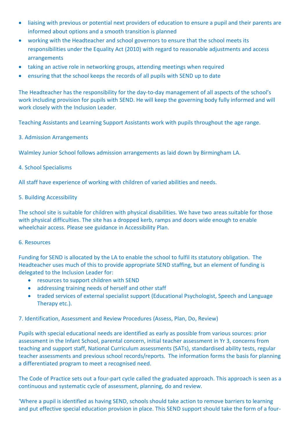- liaising with previous or potential next providers of education to ensure a pupil and their parents are informed about options and a smooth transition is planned
- working with the Headteacher and school governors to ensure that the school meets its responsibilities under the Equality Act (2010) with regard to reasonable adjustments and access arrangements
- taking an active role in networking groups, attending meetings when required
- ensuring that the school keeps the records of all pupils with SEND up to date

The Headteacher has the responsibility for the day-to-day management of all aspects of the school's work including provision for pupils with SEND. He will keep the governing body fully informed and will work closely with the Inclusion Leader.

Teaching Assistants and Learning Support Assistants work with pupils throughout the age range.

# 3. Admission Arrangements

Walmley Junior School follows admission arrangements as laid down by Birmingham LA.

## 4. School Specialisms

All staff have experience of working with children of varied abilities and needs.

## 5. Building Accessibility

The school site is suitable for children with physical disabilities. We have two areas suitable for those with physical difficulties. The site has a dropped kerb, ramps and doors wide enough to enable wheelchair access. Please see guidance in Accessibility Plan.

#### 6. Resources

Funding for SEND is allocated by the LA to enable the school to fulfil its statutory obligation. The Headteacher uses much of this to provide appropriate SEND staffing, but an element of funding is delegated to the Inclusion Leader for:

- resources to support children with SEND
- addressing training needs of herself and other staff
- traded services of external specialist support (Educational Psychologist, Speech and Language Therapy etc.).

# 7. Identification, Assessment and Review Procedures (Assess, Plan, Do, Review)

Pupils with special educational needs are identified as early as possible from various sources: prior assessment in the Infant School, parental concern, initial teacher assessment in Yr 3, concerns from teaching and support staff, National Curriculum assessments (SATs), standardised ability tests, regular teacher assessments and previous school records/reports. The information forms the basis for planning a differentiated program to meet a recognised need.

The Code of Practice sets out a four-part cycle called the graduated approach. This approach is seen as a continuous and systematic cycle of assessment, planning, do and review.

'Where a pupil is identified as having SEND, schools should take action to remove barriers to learning and put effective special education provision in place. This SEND support should take the form of a four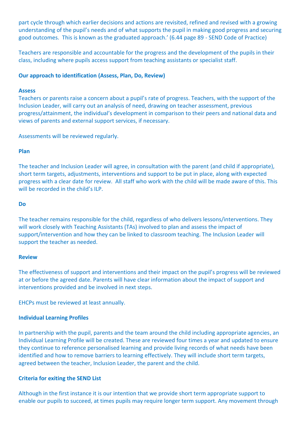part cycle through which earlier decisions and actions are revisited, refined and revised with a growing understanding of the pupil's needs and of what supports the pupil in making good progress and securing good outcomes. This is known as the graduated approach.' (6.44 page 89 - SEND Code of Practice)

Teachers are responsible and accountable for the progress and the development of the pupils in their class, including where pupils access support from teaching assistants or specialist staff.

#### **Our approach to identification (Assess, Plan, Do, Review)**

#### **Assess**

Teachers or parents raise a concern about a pupil's rate of progress. Teachers, with the support of the Inclusion Leader, will carry out an analysis of need, drawing on teacher assessment, previous progress/attainment, the individual's development in comparison to their peers and national data and views of parents and external support services, if necessary.

Assessments will be reviewed regularly.

## **Plan**

The teacher and Inclusion Leader will agree, in consultation with the parent (and child if appropriate), short term targets, adjustments, interventions and support to be put in place, along with expected progress with a clear date for review. All staff who work with the child will be made aware of this. This will be recorded in the child's ILP.

## **Do**

The teacher remains responsible for the child, regardless of who delivers lessons/interventions. They will work closely with Teaching Assistants (TAs) involved to plan and assess the impact of support/intervention and how they can be linked to classroom teaching. The Inclusion Leader will support the teacher as needed.

#### **Review**

The effectiveness of support and interventions and their impact on the pupil's progress will be reviewed at or before the agreed date. Parents will have clear information about the impact of support and interventions provided and be involved in next steps.

EHCPs must be reviewed at least annually.

# **Individual Learning Profiles**

In partnership with the pupil, parents and the team around the child including appropriate agencies, an Individual Learning Profile will be created. These are reviewed four times a year and updated to ensure they continue to reference personalised learning and provide living records of what needs have been identified and how to remove barriers to learning effectively. They will include short term targets, agreed between the teacher, Inclusion Leader, the parent and the child.

# **Criteria for exiting the SEND List**

Although in the first instance it is our intention that we provide short term appropriate support to enable our pupils to succeed, at times pupils may require longer term support. Any movement through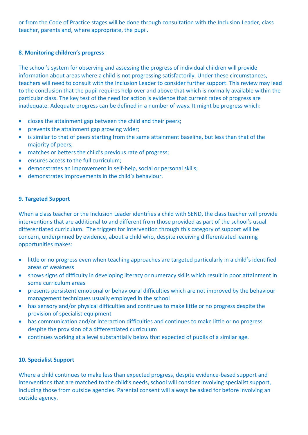or from the Code of Practice stages will be done through consultation with the Inclusion Leader, class teacher, parents and, where appropriate, the pupil.

# **8. Monitoring children's progress**

The school's system for observing and assessing the progress of individual children will provide information about areas where a child is not progressing satisfactorily. Under these circumstances, teachers will need to consult with the Inclusion Leader to consider further support. This review may lead to the conclusion that the pupil requires help over and above that which is normally available within the particular class. The key test of the need for action is evidence that current rates of progress are inadequate. Adequate progress can be defined in a number of ways. It might be progress which:

- closes the attainment gap between the child and their peers;
- prevents the attainment gap growing wider;
- is similar to that of peers starting from the same attainment baseline, but less than that of the majority of peers;
- matches or betters the child's previous rate of progress;
- ensures access to the full curriculum;
- demonstrates an improvement in self-help, social or personal skills;
- demonstrates improvements in the child's behaviour.

# **9. Targeted Support**

When a class teacher or the Inclusion Leader identifies a child with SEND, the class teacher will provide interventions that are additional to and different from those provided as part of the school's usual differentiated curriculum. The triggers for intervention through this category of support will be concern, underpinned by evidence, about a child who, despite receiving differentiated learning opportunities makes:

- little or no progress even when teaching approaches are targeted particularly in a child's identified areas of weakness
- shows signs of difficulty in developing literacy or numeracy skills which result in poor attainment in some curriculum areas
- presents persistent emotional or behavioural difficulties which are not improved by the behaviour management techniques usually employed in the school
- has sensory and/or physical difficulties and continues to make little or no progress despite the provision of specialist equipment
- has communication and/or interaction difficulties and continues to make little or no progress despite the provision of a differentiated curriculum
- continues working at a level substantially below that expected of pupils of a similar age.

# **10. Specialist Support**

Where a child continues to make less than expected progress, despite evidence-based support and interventions that are matched to the child's needs, school will consider involving specialist support, including those from outside agencies. Parental consent will always be asked for before involving an outside agency.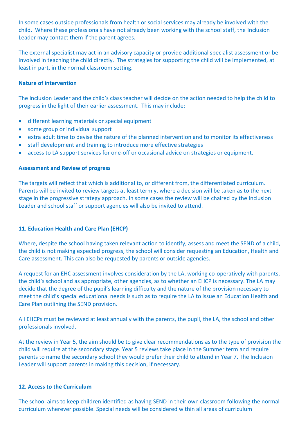In some cases outside professionals from health or social services may already be involved with the child. Where these professionals have not already been working with the school staff, the Inclusion Leader may contact them if the parent agrees.

The external specialist may act in an advisory capacity or provide additional specialist assessment or be involved in teaching the child directly. The strategies for supporting the child will be implemented, at least in part, in the normal classroom setting.

## **Nature of intervention**

The Inclusion Leader and the child's class teacher will decide on the action needed to help the child to progress in the light of their earlier assessment. This may include:

- different learning materials or special equipment
- some group or individual support
- extra adult time to devise the nature of the planned intervention and to monitor its effectiveness
- staff development and training to introduce more effective strategies
- access to LA support services for one-off or occasional advice on strategies or equipment.

#### **Assessment and Review of progress**

The targets will reflect that which is additional to, or different from, the differentiated curriculum. Parents will be invited to review targets at least termly, where a decision will be taken as to the next stage in the progressive strategy approach. In some cases the review will be chaired by the Inclusion Leader and school staff or support agencies will also be invited to attend.

# **11. Education Health and Care Plan (EHCP)**

Where, despite the school having taken relevant action to identify, assess and meet the SEND of a child, the child is not making expected progress, the school will consider requesting an Education, Health and Care assessment. This can also be requested by parents or outside agencies.

A request for an EHC assessment involves consideration by the LA, working co-operatively with parents, the child's school and as appropriate, other agencies, as to whether an EHCP is necessary. The LA may decide that the degree of the pupil's learning difficulty and the nature of the provision necessary to meet the child's special educational needs is such as to require the LA to issue an Education Health and Care Plan outlining the SEND provision.

All EHCPs must be reviewed at least annually with the parents, the pupil, the LA, the school and other professionals involved.

At the review in Year 5, the aim should be to give clear recommendations as to the type of provision the child will require at the secondary stage. Year 5 reviews take place in the Summer term and require parents to name the secondary school they would prefer their child to attend in Year 7. The Inclusion Leader will support parents in making this decision, if necessary.

#### **12. Access to the Curriculum**

The school aims to keep children identified as having SEND in their own classroom following the normal curriculum wherever possible. Special needs will be considered within all areas of curriculum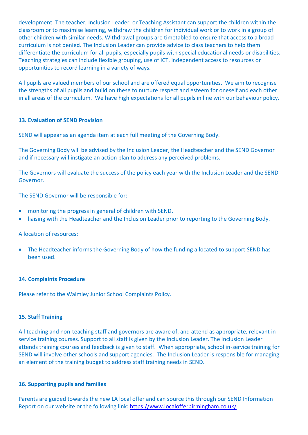development. The teacher, Inclusion Leader, or Teaching Assistant can support the children within the classroom or to maximise learning, withdraw the children for individual work or to work in a group of other children with similar needs. Withdrawal groups are timetabled to ensure that access to a broad curriculum is not denied. The Inclusion Leader can provide advice to class teachers to help them differentiate the curriculum for all pupils, especially pupils with special educational needs or disabilities. Teaching strategies can include flexible grouping, use of ICT, independent access to resources or opportunities to record learning in a variety of ways.

All pupils are valued members of our school and are offered equal opportunities. We aim to recognise the strengths of all pupils and build on these to nurture respect and esteem for oneself and each other in all areas of the curriculum. We have high expectations for all pupils in line with our behaviour policy.

#### **13. Evaluation of SEND Provision**

SEND will appear as an agenda item at each full meeting of the Governing Body.

The Governing Body will be advised by the Inclusion Leader, the Headteacher and the SEND Governor and if necessary will instigate an action plan to address any perceived problems.

The Governors will evaluate the success of the policy each year with the Inclusion Leader and the SEND Governor.

The SEND Governor will be responsible for:

- monitoring the progress in general of children with SEND.
- liaising with the Headteacher and the Inclusion Leader prior to reporting to the Governing Body.

#### Allocation of resources:

 The Headteacher informs the Governing Body of how the funding allocated to support SEND has been used.

#### **14. Complaints Procedure**

Please refer to the Walmley Junior School Complaints Policy.

#### **15. Staff Training**

All teaching and non-teaching staff and governors are aware of, and attend as appropriate, relevant inservice training courses. Support to all staff is given by the Inclusion Leader. The Inclusion Leader attends training courses and feedback is given to staff. When appropriate, school in-service training for SEND will involve other schools and support agencies. The Inclusion Leader is responsible for managing an element of the training budget to address staff training needs in SEND.

#### **16. Supporting pupils and families**

Parents are guided towards the new LA local offer and can source this through our SEND Information Report on our website or the following link:<https://www.localofferbirmingham.co.uk/>